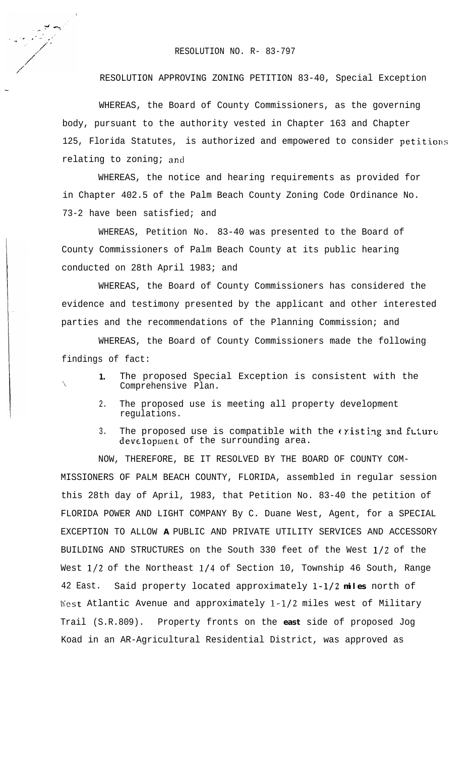## RESOLUTION NO. R- 83-797

RESOLUTION APPROVING ZONING PETITION 83-40, Special Exception

WHEREAS, the Board of County Commissioners, as the governing body, pursuant to the authority vested in Chapter 163 and Chapter 125, Florida Statutes, is authorized and empowered to consider petitions relating to zoning; and

WHEREAS, the notice and hearing requirements as provided for in Chapter 402.5 of the Palm Beach County Zoning Code Ordinance No. 73-2 have been satisfied; and

WHEREAS, Petition No. 83-40 was presented to the Board of County Commissioners of Palm Beach County at its public hearing conducted on 28th April 1983; and

WHEREAS, the Board of County Commissioners has considered the evidence and testimony presented by the applicant and other interested parties and the recommendations of the Planning Commission; and

WHEREAS, the Board of County Commissioners made the following findings of fact:

'\

- **1.** The proposed Special Exception is consistent with the Comprehensive Plan.
- 2. The proposed use is meeting all property development regulations.
- 3. The proposed use is compatible with the  $\epsilon$  risting and future development of the surrounding area.

NOW, THEREFORE, BE IT RESOLVED BY THE BOARD OF COUNTY COM-MISSIONERS OF PALM BEACH COUNTY, FLORIDA, assembled in regular session this 28th day of April, 1983, that Petition No. 83-40 the petition of FLORIDA POWER AND LIGHT COMPANY By C. Duane West, Agent, for a SPECIAL EXCEPTION TO ALLOW **A** PUBLIC AND PRIVATE UTILITY SERVICES AND ACCESSORY BUILDING AND STRUCTURES on the South 330 feet of the West l/2 of the West l/2 of the Northeast l/4 of Section 10, Township 46 South, Range 42 East. Said property located approximately **l-l/2 miles** north of West Atlantic Avenue and approximately l-1/2 miles west of Military Trail (S.R.809). Property fronts on the **east** side of proposed Jog Koad in an AR-Agricultural Residential District, was approved as